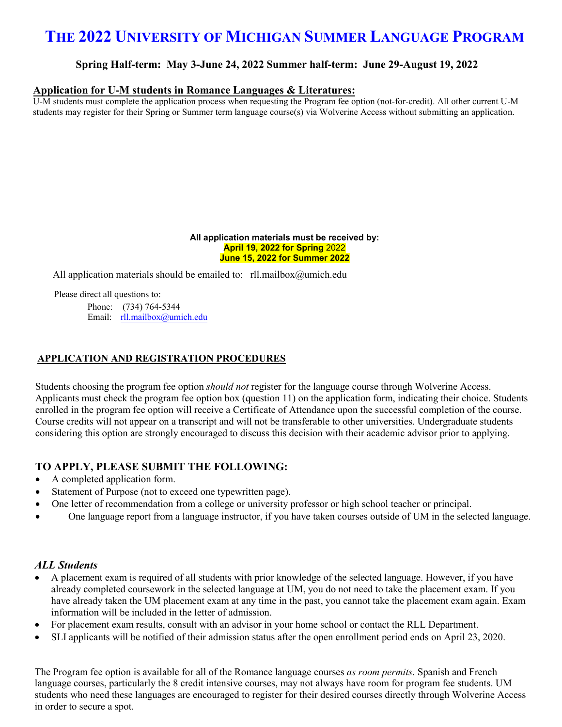# **THE 2022 UNIVERSITY OF MICHIGAN SUMMER LANGUAGE PROGRAM**

### **Spring Half-term: May 3-June 24, 2022 Summer half-term: June 29-August 19, 2022**

### **Application for U-M students in Romance Languages & Literatures:**

U-M students must complete the application process when requesting the Program fee option (not-for-credit). All other current U-M students may register for their Spring or Summer term language course(s) via Wolverine Access without submitting an application.

#### **All application materials must be received by: April 19, 2022 for Spring** 2022 **June 15, 2022 for Summer 2022**

All application materials should be emailed to:  $rll$ .mailbox@umich.edu

Please direct all questions to:

Phone: (734) 764-5344 Email: rll.mailbox@umich.edu

### **APPLICATION AND REGISTRATION PROCEDURES**

Students choosing the program fee option *should not* register for the language course through Wolverine Access. Applicants must ch[eck the program fee](mailto:rll.mailbox@umich.edu) option box (question 11) on the application form, indicating their choice. Students enrolled in the program fee option will receive a Certificate of Attendance upon the successful completion of the course. Course credits will not appear on a transcript and will not be transferable to other universities. Undergraduate students considering this option are strongly encouraged to discuss this decision with their academic advisor prior to applying.

### **TO APPLY, PLEASE SUBMIT THE FOLLOWING:**

- A completed application form.
- Statement of Purpose (not to exceed one typewritten page).
- One letter of recommendation from a college or university professor or high school teacher or principal.
- One language report from a language instructor, if you have taken courses outside of UM in the selected language.

### *ALL Students*

- A placement exam is required of all students with prior knowledge of the selected language. However, if you have already completed coursework in the selected language at UM, you do not need to take the placement exam. If you have already taken the UM placement exam at any time in the past, you cannot take the placement exam again. Exam information will be included in the letter of admission.
- For placement exam results, consult with an advisor in your home school or contact the RLL Department.
- SLI applicants will be notified of their admission status after the open enrollment period ends on April 23, 2020.

The Program fee option is available for all of the Romance language courses *as room permits*. Spanish and French language courses, particularly the 8 credit intensive courses, may not always have room for program fee students. UM students who need these languages are encouraged to register for their desired courses directly through Wolverine Access in order to secure a spot.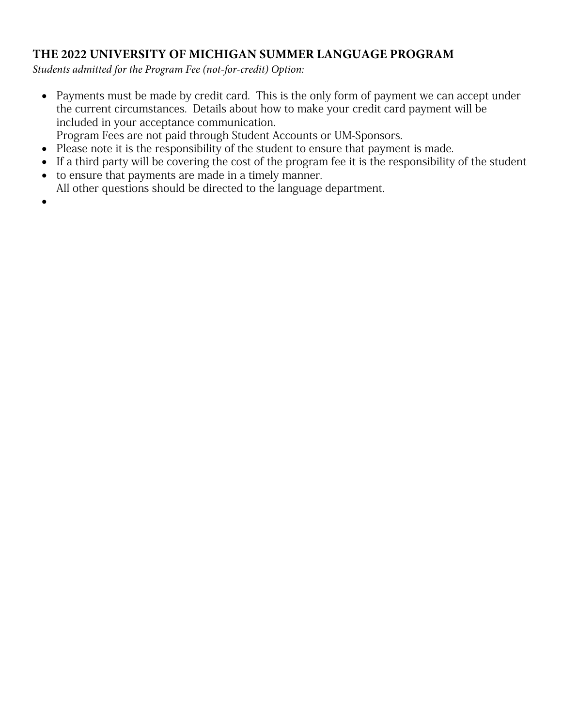# **THE 2022 UNIVERSITY OF MICHIGAN SUMMER LANGUAGE PROGRAM**

*Students admitted for the Program Fee (not-for-credit) Option:*

- Payments must be made by credit card. This is the only form of payment we can accept under the current circumstances. Details about how to make your credit card payment will be included in your acceptance communication.
- Program Fees are not paid through Student Accounts or UM-Sponsors.
- Please note it is the responsibility of the student to ensure that payment is made.
- If a third party will be covering the cost of the program fee it is the responsibility of the student
- to ensure that payments are made in a timely manner. All other questions should be directed to the language department.
- •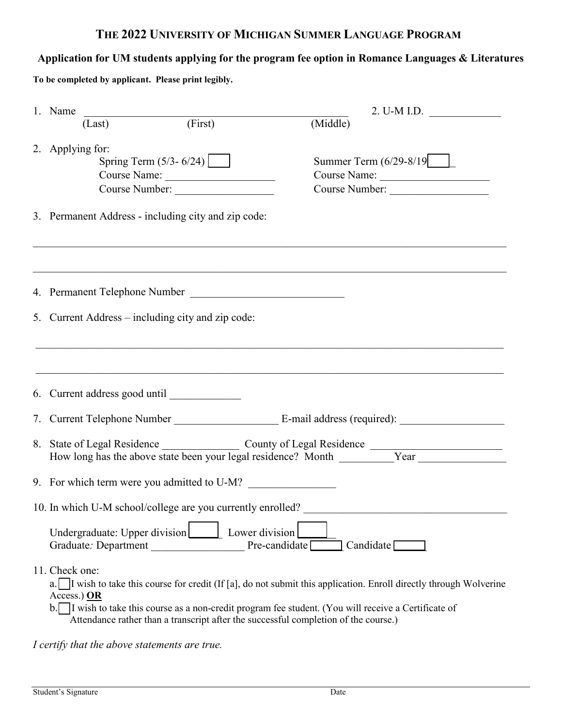# **THE 2022 UNIVERSITY OF MICHIGAN SUMMER LANGUAGE PROGRAM**

# **Application for UM students applying for the program fee option in Romance Languages & Literatures**

**To be completed by applicant. Please print legibly.**

| 1. Name                                                                                                                                                                                                                       | 2. U-M I.D. $\qquad \qquad$                                                                                      |  |  |  |  |  |
|-------------------------------------------------------------------------------------------------------------------------------------------------------------------------------------------------------------------------------|------------------------------------------------------------------------------------------------------------------|--|--|--|--|--|
| $(Last)$ (First)                                                                                                                                                                                                              | (Middle)                                                                                                         |  |  |  |  |  |
| 2. Applying for:<br>Spring Term $(5/3 - 6/24)$<br>Course Name:<br>Course Number:                                                                                                                                              | Summer Term (6/29-8/19<br>Course Name:<br>Course Number:                                                         |  |  |  |  |  |
| 3. Permanent Address - including city and zip code:                                                                                                                                                                           |                                                                                                                  |  |  |  |  |  |
| 4. Permanent Telephone Number                                                                                                                                                                                                 |                                                                                                                  |  |  |  |  |  |
| 5. Current Address – including city and zip code:                                                                                                                                                                             |                                                                                                                  |  |  |  |  |  |
|                                                                                                                                                                                                                               |                                                                                                                  |  |  |  |  |  |
| How long has the above state been your legal residence? Month Vear                                                                                                                                                            |                                                                                                                  |  |  |  |  |  |
| 9. For which term were you admitted to U-M?                                                                                                                                                                                   |                                                                                                                  |  |  |  |  |  |
| 10. In which U-M school/college are you currently enrolled?                                                                                                                                                                   |                                                                                                                  |  |  |  |  |  |
| Undergraduate: Upper division<br>Lower division<br>Graduate: Department                                                                                                                                                       | $Pre-candidate$<br>$\Box$ Candidate $\Box$                                                                       |  |  |  |  |  |
| 11. Check one:<br>Access.) OR<br>b. I wish to take this course as a non-credit program fee student. (You will receive a Certificate of<br>Attendance rather than a transcript after the successful completion of the course.) | I wish to take this course for credit (If [a], do not submit this application. Enroll directly through Wolverine |  |  |  |  |  |

*I certify that the above statements are true.*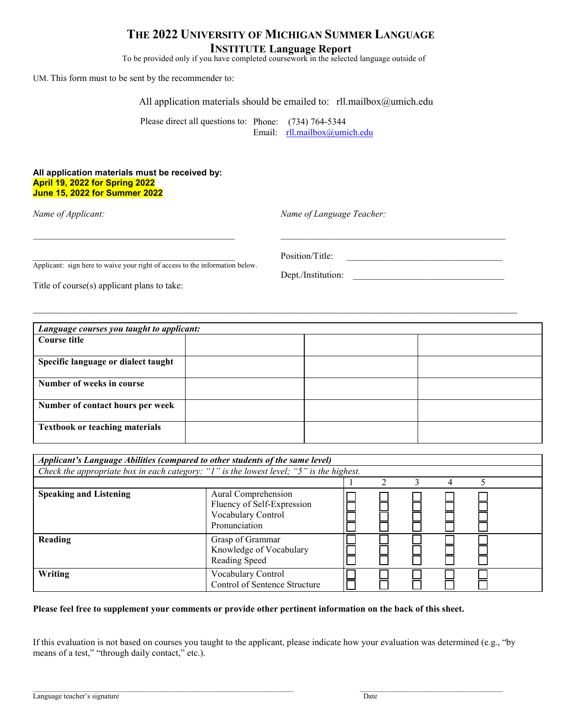## **THE 2022 UNIVERSITY OF MICHIGAN SUMMER LANGUAGE INSTITUTE Language Report**

To be provided only if you have completed coursework in the selected language outside of

 $\_$  ,  $\_$  ,  $\_$  ,  $\_$  ,  $\_$  ,  $\_$  ,  $\_$  ,  $\_$  ,  $\_$  ,  $\_$  ,  $\_$  ,  $\_$  ,  $\_$  ,  $\_$  ,  $\_$  ,  $\_$  ,  $\_$  ,  $\_$  ,  $\_$  ,  $\_$  ,  $\_$  ,  $\_$  ,  $\_$  ,  $\_$  ,  $\_$  ,  $\_$  ,  $\_$  ,  $\_$  ,  $\_$  ,  $\_$  ,  $\_$  ,  $\_$  ,  $\_$  ,  $\_$  ,  $\_$  ,  $\_$  ,  $\_$  ,

UM. This form must to be sent by the recommender to:

All application materials should be emailed to: rll.mailbox@umich.edu

Please direct all questions to: Phone: (734) 764-5344 Email: rll.mailbox@umich.edu

#### **All application materials must be received by: April 19, 2022 for Spring 2022 June 15, 2022 for Summer 2022**

*Name of Applicant: Name of Language Teacher:*

Dept./Institution:

 $\text{Position/Title:}$ Applicant: sign here to waive your right of access to the information below.

Title of course(s) applicant plans to take:

 $\_$ *Language courses you taught to applicant:* **Course title Specific language or dialect taught Number of weeks in course Number of contact hours per week Textbook or teaching materials**

| Applicant's Language Abilities (compared to other students of the same level)            |                                                                                          |  |  |  |  |  |  |  |
|------------------------------------------------------------------------------------------|------------------------------------------------------------------------------------------|--|--|--|--|--|--|--|
| Check the appropriate box in each category: "1" is the lowest level; "5" is the highest. |                                                                                          |  |  |  |  |  |  |  |
|                                                                                          |                                                                                          |  |  |  |  |  |  |  |
| <b>Speaking and Listening</b>                                                            | Aural Comprehension<br>Fluency of Self-Expression<br>Vocabulary Control<br>Pronunciation |  |  |  |  |  |  |  |
| Reading                                                                                  | Grasp of Grammar<br>Knowledge of Vocabulary<br>Reading Speed                             |  |  |  |  |  |  |  |
| <b>Writing</b>                                                                           | Vocabulary Control<br>Control of Sentence Structure                                      |  |  |  |  |  |  |  |

#### **Please feel free to supplement your comments or provide other pertinent information on the back of this sheet.**

If this evaluation is not based on courses you taught to the applicant, please indicate how your evaluation was determined (e.g., "by means of a test," "through daily contact," etc.).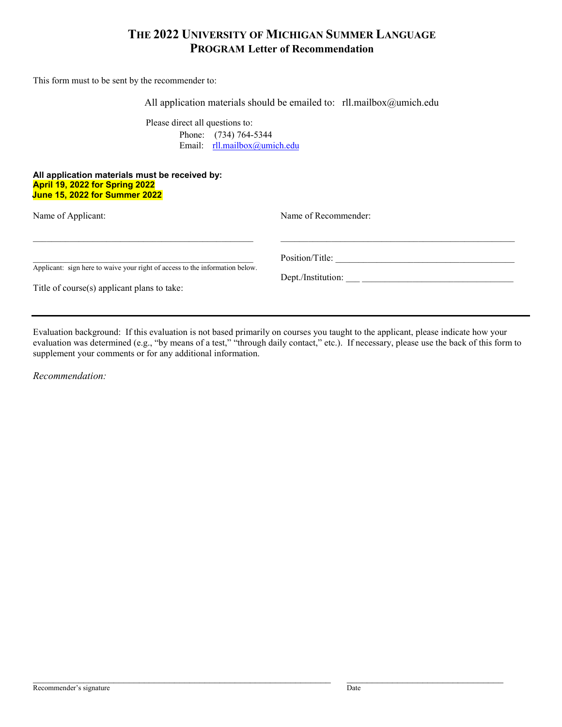# **THE 2022 UNIVERSITY OF MICHIGAN SUMMER LANGUAGE PROGRAM Letter of Recommendation**

This form must to be sent by the recommender to:

All application materials should be emailed to: rll.mailbox@umich.edu

Please direct all questions to: Phone: (734) 764-5344 Email: rll.mailbox@umich.edu

#### **All application materials must be received by: April 19, 2022 for Spring 2022 June 15, 2022 for Summer 2022**

| Name of Applicant:                                                           | Name of Recommender: |
|------------------------------------------------------------------------------|----------------------|
| Applicant: sign here to waive your right of access to the information below. | Position/Title:      |
| Title of course(s) applicant plans to take:                                  | Dept./Institution:   |

Evaluation background: If this evaluation is not based primarily on courses you taught to the applicant, please indicate how your evaluation was determined (e.g., "by means of a test," "through daily contact," etc.). If necessary, please use the back of this form to supplement your comments or for any additional information.

*Recommendation:*